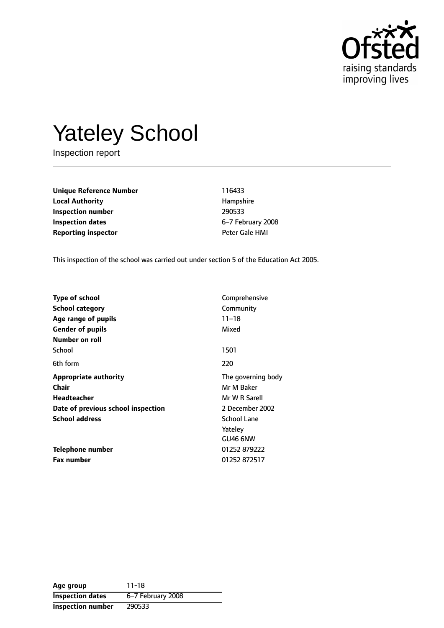

# Yateley School

Inspection report

**Unique Reference Number** 116433 **Local Authority Hampshire Inspection number** 290533 **Inspection dates** 6-7 February 2008 **Reporting inspector CONSERVING PETER CALCE HMI** 

This inspection of the school was carried out under section 5 of the Education Act 2005.

| <b>Type of school</b><br><b>School category</b><br>Age range of pupils                                                     | Comprehensive<br>Community<br>$11 - 18$                                                               |
|----------------------------------------------------------------------------------------------------------------------------|-------------------------------------------------------------------------------------------------------|
| <b>Gender of pupils</b><br>Number on roll                                                                                  | Mixed                                                                                                 |
| School                                                                                                                     | 1501                                                                                                  |
| 6th form                                                                                                                   | 220                                                                                                   |
| <b>Appropriate authority</b><br>Chair<br><b>Headteacher</b><br>Date of previous school inspection<br><b>School address</b> | The governing body<br>Mr M Baker<br>Mr W R Sarell<br>2 December 2002<br><b>School Lane</b><br>Yateley |
| Telephone number<br><b>Fax number</b>                                                                                      | GU46 6NW<br>01252879222<br>01252872517                                                                |

**Age group** 11-18 **Inspection dates** 6-7 February 2008 **Inspection number** 290533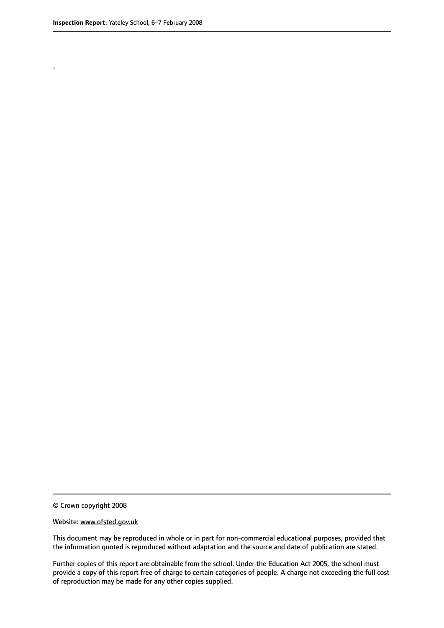.

© Crown copyright 2008

#### Website: www.ofsted.gov.uk

This document may be reproduced in whole or in part for non-commercial educational purposes, provided that the information quoted is reproduced without adaptation and the source and date of publication are stated.

Further copies of this report are obtainable from the school. Under the Education Act 2005, the school must provide a copy of this report free of charge to certain categories of people. A charge not exceeding the full cost of reproduction may be made for any other copies supplied.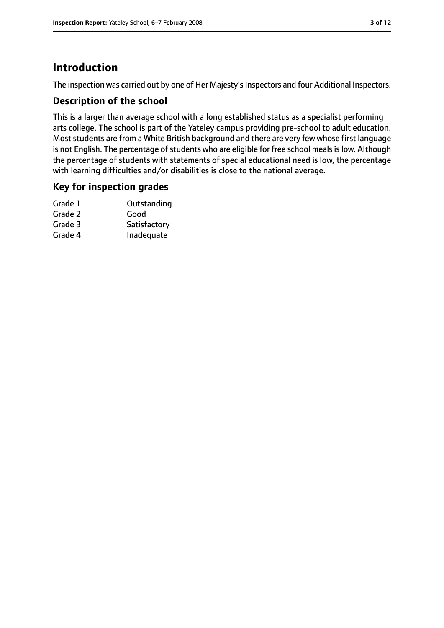# **Introduction**

The inspection was carried out by one of Her Majesty's Inspectors and four Additional Inspectors.

## **Description of the school**

This is a larger than average school with a long established status as a specialist performing arts college. The school is part of the Yateley campus providing pre-school to adult education. Most students are from a White British background and there are very few whose first language is not English. The percentage of students who are eligible for free school meals is low. Although the percentage of students with statements of special educational need is low, the percentage with learning difficulties and/or disabilities is close to the national average.

## **Key for inspection grades**

| Grade 1 | Outstanding  |
|---------|--------------|
| Grade 2 | Good         |
| Grade 3 | Satisfactory |
| Grade 4 | Inadequate   |
|         |              |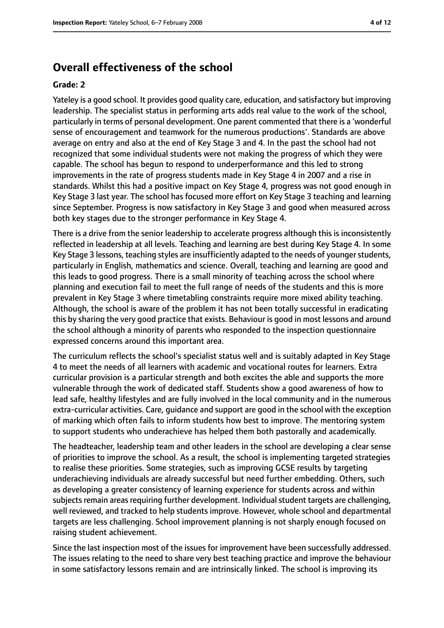# **Overall effectiveness of the school**

#### **Grade: 2**

Yateley is a good school. It provides good quality care, education, and satisfactory but improving leadership. The specialist status in performing arts adds real value to the work of the school, particularly in terms of personal development. One parent commented that there is a 'wonderful sense of encouragement and teamwork for the numerous productions'. Standards are above average on entry and also at the end of Key Stage 3 and 4. In the past the school had not recognized that some individual students were not making the progress of which they were capable. The school has begun to respond to underperformance and this led to strong improvements in the rate of progress students made in Key Stage 4 in 2007 and a rise in standards. Whilst this had a positive impact on Key Stage 4, progress was not good enough in Key Stage 3 last year. The school has focused more effort on Key Stage 3 teaching and learning since September. Progress is now satisfactory in Key Stage 3 and good when measured across both key stages due to the stronger performance in Key Stage 4.

There is a drive from the senior leadership to accelerate progress although this is inconsistently reflected in leadership at all levels. Teaching and learning are best during Key Stage 4. In some Key Stage 3 lessons, teaching styles are insufficiently adapted to the needs of younger students, particularly in English, mathematics and science. Overall, teaching and learning are good and this leads to good progress. There is a small minority of teaching across the school where planning and execution fail to meet the full range of needs of the students and this is more prevalent in Key Stage 3 where timetabling constraints require more mixed ability teaching. Although, the school is aware of the problem it has not been totally successful in eradicating this by sharing the very good practice that exists. Behaviour is good in most lessons and around the school although a minority of parents who responded to the inspection questionnaire expressed concerns around this important area.

The curriculum reflects the school's specialist status well and is suitably adapted in Key Stage 4 to meet the needs of all learners with academic and vocational routes for learners. Extra curricular provision is a particular strength and both excites the able and supports the more vulnerable through the work of dedicated staff. Students show a good awareness of how to lead safe, healthy lifestyles and are fully involved in the local community and in the numerous extra-curricular activities. Care, guidance and support are good in the school with the exception of marking which often fails to inform students how best to improve. The mentoring system to support students who underachieve has helped them both pastorally and academically.

The headteacher, leadership team and other leaders in the school are developing a clear sense of priorities to improve the school. As a result, the school is implementing targeted strategies to realise these priorities. Some strategies, such as improving GCSE results by targeting underachieving individuals are already successful but need further embedding. Others, such as developing a greater consistency of learning experience for students across and within subjects remain areas requiring further development. Individual student targets are challenging, well reviewed, and tracked to help students improve. However, whole school and departmental targets are less challenging. School improvement planning is not sharply enough focused on raising student achievement.

Since the last inspection most of the issues for improvement have been successfully addressed. The issues relating to the need to share very best teaching practice and improve the behaviour in some satisfactory lessons remain and are intrinsically linked. The school is improving its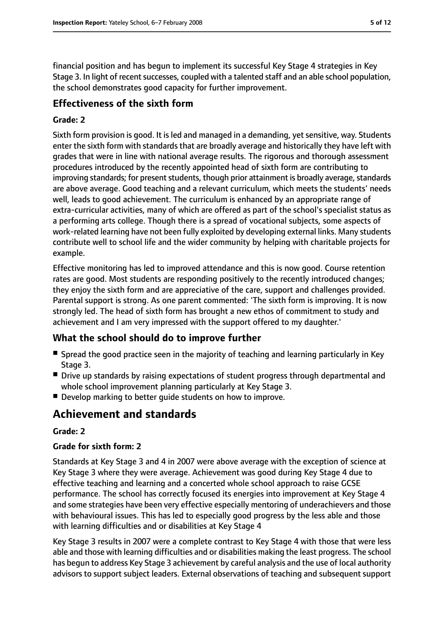financial position and has begun to implement its successful Key Stage 4 strategies in Key Stage 3. In light of recent successes, coupled with a talented staff and an able school population, the school demonstrates good capacity for further improvement.

# **Effectiveness of the sixth form**

#### **Grade: 2**

Sixth form provision is good. It is led and managed in a demanding, yet sensitive, way. Students enter the sixth form with standards that are broadly average and historically they have left with grades that were in line with national average results. The rigorous and thorough assessment procedures introduced by the recently appointed head of sixth form are contributing to improving standards; for present students, though prior attainment is broadly average, standards are above average. Good teaching and a relevant curriculum, which meets the students' needs well, leads to good achievement. The curriculum is enhanced by an appropriate range of extra-curricular activities, many of which are offered as part of the school's specialist status as a performing arts college. Though there is a spread of vocational subjects, some aspects of work-related learning have not been fully exploited by developing external links. Many students contribute well to school life and the wider community by helping with charitable projects for example.

Effective monitoring has led to improved attendance and this is now good. Course retention rates are good. Most students are responding positively to the recently introduced changes; they enjoy the sixth form and are appreciative of the care, support and challenges provided. Parental support is strong. As one parent commented: 'The sixth form is improving. It is now strongly led. The head of sixth form has brought a new ethos of commitment to study and achievement and I am very impressed with the support offered to my daughter.'

## **What the school should do to improve further**

- Spread the good practice seen in the majority of teaching and learning particularly in Key Stage 3.
- Drive up standards by raising expectations of student progress through departmental and whole school improvement planning particularly at Key Stage 3.
- Develop marking to better quide students on how to improve.

# **Achievement and standards**

#### **Grade: 2**

#### **Grade for sixth form: 2**

Standards at Key Stage 3 and 4 in 2007 were above average with the exception of science at Key Stage 3 where they were average. Achievement was good during Key Stage 4 due to effective teaching and learning and a concerted whole school approach to raise GCSE performance. The school has correctly focused its energies into improvement at Key Stage 4 and some strategies have been very effective especially mentoring of underachievers and those with behavioural issues. This has led to especially good progress by the less able and those with learning difficulties and or disabilities at Key Stage 4

Key Stage 3 results in 2007 were a complete contrast to Key Stage 4 with those that were less able and those with learning difficulties and or disabilities making the least progress. The school has begun to address Key Stage 3 achievement by careful analysis and the use of local authority advisors to support subject leaders. External observations of teaching and subsequent support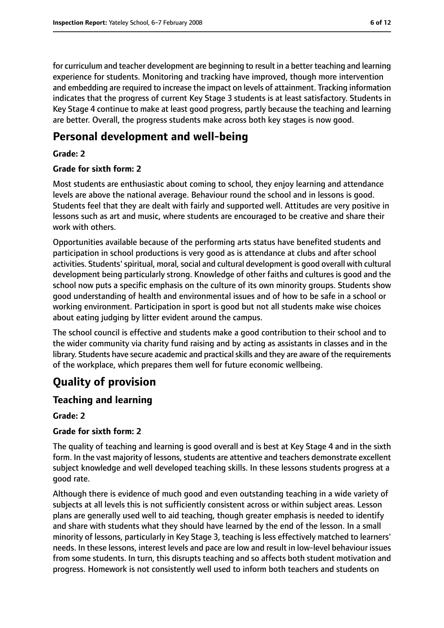for curriculum and teacher development are beginning to result in a better teaching and learning experience for students. Monitoring and tracking have improved, though more intervention and embedding are required to increase the impact on levels of attainment. Tracking information indicates that the progress of current Key Stage 3 students is at least satisfactory. Students in Key Stage 4 continue to make at least good progress, partly because the teaching and learning are better. Overall, the progress students make across both key stages is now good.

# **Personal development and well-being**

## **Grade: 2**

#### **Grade for sixth form: 2**

Most students are enthusiastic about coming to school, they enjoy learning and attendance levels are above the national average. Behaviour round the school and in lessons is good. Students feel that they are dealt with fairly and supported well. Attitudes are very positive in lessons such as art and music, where students are encouraged to be creative and share their work with others.

Opportunities available because of the performing arts status have benefited students and participation in school productions is very good as is attendance at clubs and after school activities. Students' spiritual, moral, social and cultural development is good overall with cultural development being particularly strong. Knowledge of other faiths and cultures is good and the school now puts a specific emphasis on the culture of its own minority groups. Students show good understanding of health and environmental issues and of how to be safe in a school or working environment. Participation in sport is good but not all students make wise choices about eating judging by litter evident around the campus.

The school council is effective and students make a good contribution to their school and to the wider community via charity fund raising and by acting as assistants in classes and in the library. Students have secure academic and practical skills and they are aware of the requirements of the workplace, which prepares them well for future economic wellbeing.

# **Quality of provision**

# **Teaching and learning**

## **Grade: 2**

## **Grade for sixth form: 2**

The quality of teaching and learning is good overall and is best at Key Stage 4 and in the sixth form. In the vast majority of lessons, students are attentive and teachers demonstrate excellent subject knowledge and well developed teaching skills. In these lessons students progress at a good rate.

Although there is evidence of much good and even outstanding teaching in a wide variety of subjects at all levels this is not sufficiently consistent across or within subject areas. Lesson plans are generally used well to aid teaching, though greater emphasis is needed to identify and share with students what they should have learned by the end of the lesson. In a small minority of lessons, particularly in Key Stage 3, teaching is less effectively matched to learners' needs. In these lessons, interest levels and pace are low and result in low-level behaviour issues from some students. In turn, this disrupts teaching and so affects both student motivation and progress. Homework is not consistently well used to inform both teachers and students on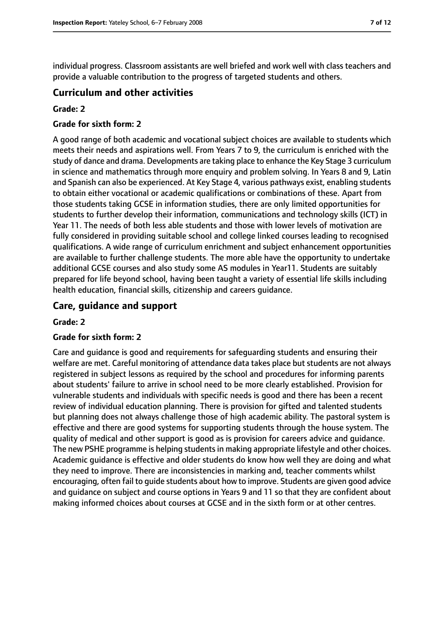individual progress. Classroom assistants are well briefed and work well with class teachers and provide a valuable contribution to the progress of targeted students and others.

## **Curriculum and other activities**

#### **Grade: 2**

#### **Grade for sixth form: 2**

A good range of both academic and vocational subject choices are available to students which meets their needs and aspirations well. From Years 7 to 9, the curriculum is enriched with the study of dance and drama. Developments are taking place to enhance the Key Stage 3 curriculum in science and mathematics through more enquiry and problem solving. In Years 8 and 9, Latin and Spanish can also be experienced. At Key Stage 4, various pathways exist, enabling students to obtain either vocational or academic qualifications or combinations of these. Apart from those students taking GCSE in information studies, there are only limited opportunities for students to further develop their information, communications and technology skills (ICT) in Year 11. The needs of both less able students and those with lower levels of motivation are fully considered in providing suitable school and college linked courses leading to recognised qualifications. A wide range of curriculum enrichment and subject enhancement opportunities are available to further challenge students. The more able have the opportunity to undertake additional GCSE courses and also study some AS modules in Year11. Students are suitably prepared for life beyond school, having been taught a variety of essential life skills including health education, financial skills, citizenship and careers guidance.

## **Care, guidance and support**

#### **Grade: 2**

#### **Grade for sixth form: 2**

Care and guidance is good and requirements for safeguarding students and ensuring their welfare are met. Careful monitoring of attendance data takes place but students are not always registered in subject lessons as required by the school and procedures for informing parents about students' failure to arrive in school need to be more clearly established. Provision for vulnerable students and individuals with specific needs is good and there has been a recent review of individual education planning. There is provision for gifted and talented students but planning does not always challenge those of high academic ability. The pastoral system is effective and there are good systems for supporting students through the house system. The quality of medical and other support is good as is provision for careers advice and guidance. The new PSHE programme is helping students in making appropriate lifestyle and other choices. Academic guidance is effective and older students do know how well they are doing and what they need to improve. There are inconsistencies in marking and, teacher comments whilst encouraging, often fail to guide students about how to improve. Students are given good advice and guidance on subject and course options in Years 9 and 11 so that they are confident about making informed choices about courses at GCSE and in the sixth form or at other centres.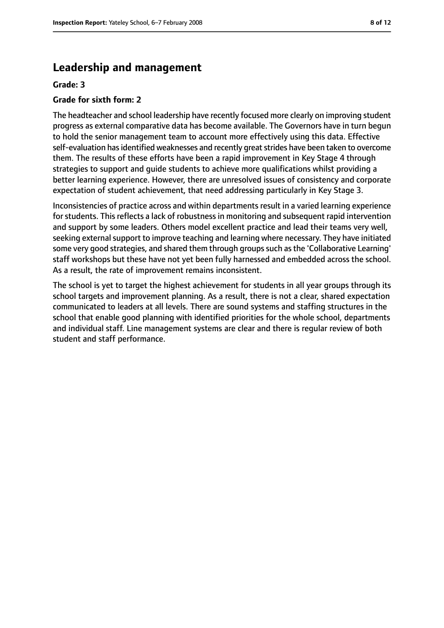# **Leadership and management**

#### **Grade: 3**

#### **Grade for sixth form: 2**

The headteacher and school leadership have recently focused more clearly on improving student progress as external comparative data has become available. The Governors have in turn begun to hold the senior management team to account more effectively using this data. Effective self-evaluation has identified weaknesses and recently great strides have been taken to overcome them. The results of these efforts have been a rapid improvement in Key Stage 4 through strategies to support and guide students to achieve more qualifications whilst providing a better learning experience. However, there are unresolved issues of consistency and corporate expectation of student achievement, that need addressing particularly in Key Stage 3.

Inconsistencies of practice across and within departments result in a varied learning experience for students. This reflects a lack of robustness in monitoring and subsequent rapid intervention and support by some leaders. Others model excellent practice and lead their teams very well, seeking external support to improve teaching and learning where necessary. They have initiated some very good strategies, and shared them through groups such as the 'Collaborative Learning' staff workshops but these have not yet been fully harnessed and embedded across the school. As a result, the rate of improvement remains inconsistent.

The school is yet to target the highest achievement for students in all year groups through its school targets and improvement planning. As a result, there is not a clear, shared expectation communicated to leaders at all levels. There are sound systems and staffing structures in the school that enable good planning with identified priorities for the whole school, departments and individual staff. Line management systems are clear and there is regular review of both student and staff performance.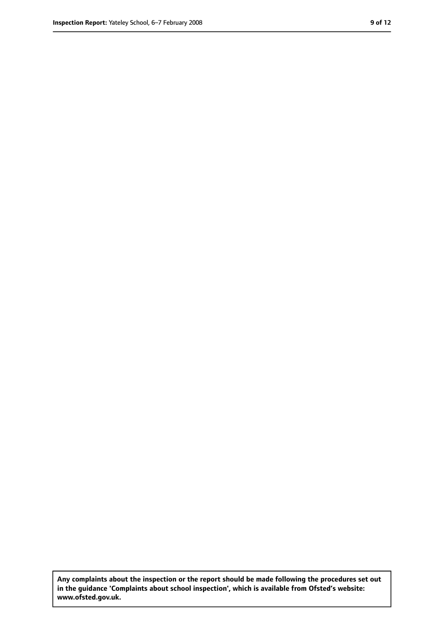**Any complaints about the inspection or the report should be made following the procedures set out in the guidance 'Complaints about school inspection', which is available from Ofsted's website: www.ofsted.gov.uk.**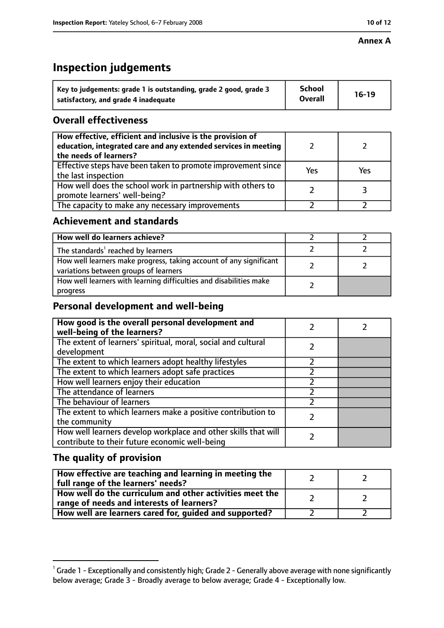#### **Annex A**

# **Inspection judgements**

| Key to judgements: grade 1 is outstanding, grade 2 good, grade 3 | <b>School</b>  | $16-19$ |
|------------------------------------------------------------------|----------------|---------|
| satisfactory, and grade 4 inadequate                             | <b>Overall</b> |         |

# **Overall effectiveness**

| How effective, efficient and inclusive is the provision of<br>education, integrated care and any extended services in meeting<br>the needs of learners? |     |     |
|---------------------------------------------------------------------------------------------------------------------------------------------------------|-----|-----|
| Effective steps have been taken to promote improvement since<br>the last inspection                                                                     | Yes | Yes |
| How well does the school work in partnership with others to<br>promote learners' well-being?                                                            |     |     |
| The capacity to make any necessary improvements                                                                                                         |     |     |

# **Achievement and standards**

| How well do learners achieve?                                                                               |  |
|-------------------------------------------------------------------------------------------------------------|--|
| The standards <sup>1</sup> reached by learners                                                              |  |
| How well learners make progress, taking account of any significant<br>variations between groups of learners |  |
| How well learners with learning difficulties and disabilities make<br>progress                              |  |

# **Personal development and well-being**

| How good is the overall personal development and<br>well-being of the learners?                                  |  |
|------------------------------------------------------------------------------------------------------------------|--|
| The extent of learners' spiritual, moral, social and cultural<br>development                                     |  |
| The extent to which learners adopt healthy lifestyles                                                            |  |
| The extent to which learners adopt safe practices                                                                |  |
| How well learners enjoy their education                                                                          |  |
| The attendance of learners                                                                                       |  |
| The behaviour of learners                                                                                        |  |
| The extent to which learners make a positive contribution to<br>the community                                    |  |
| How well learners develop workplace and other skills that will<br>contribute to their future economic well-being |  |

# **The quality of provision**

| How effective are teaching and learning in meeting the<br>full range of the learners' needs?          |  |
|-------------------------------------------------------------------------------------------------------|--|
| How well do the curriculum and other activities meet the<br>range of needs and interests of learners? |  |
| How well are learners cared for, guided and supported?                                                |  |

 $^1$  Grade 1 - Exceptionally and consistently high; Grade 2 - Generally above average with none significantly below average; Grade 3 - Broadly average to below average; Grade 4 - Exceptionally low.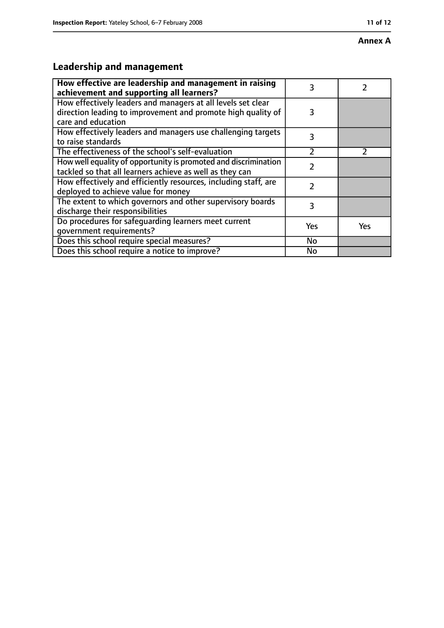#### **Annex A**

# **Leadership and management**

| How effective are leadership and management in raising<br>achievement and supporting all learners?                                                 | 3   |               |
|----------------------------------------------------------------------------------------------------------------------------------------------------|-----|---------------|
| How effectively leaders and managers at all levels set clear<br>direction leading to improvement and promote high quality of<br>care and education | 3   |               |
| How effectively leaders and managers use challenging targets<br>to raise standards                                                                 | 3   |               |
| The effectiveness of the school's self-evaluation                                                                                                  | フ   | $\mathcal{P}$ |
| How well equality of opportunity is promoted and discrimination<br>tackled so that all learners achieve as well as they can                        | 7   |               |
| How effectively and efficiently resources, including staff, are<br>deployed to achieve value for money                                             | 2   |               |
| The extent to which governors and other supervisory boards<br>discharge their responsibilities                                                     | 3   |               |
| Do procedures for safequarding learners meet current<br>qovernment requirements?                                                                   | Yes | Yes           |
| Does this school require special measures?                                                                                                         | No  |               |
| Does this school require a notice to improve?                                                                                                      | No  |               |